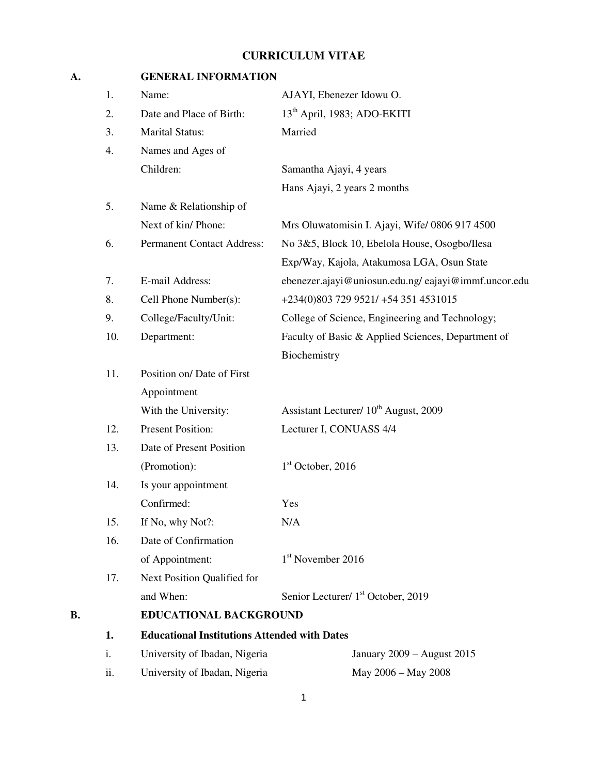# **CURRICULUM VITAE**

## **A. GENERAL INFORMATION**

|    | 1.  | Name:                                               | AJAYI, Ebenezer Idowu O.                            |
|----|-----|-----------------------------------------------------|-----------------------------------------------------|
|    | 2.  | Date and Place of Birth:                            | 13 <sup>th</sup> April, 1983; ADO-EKITI             |
|    | 3.  | <b>Marital Status:</b>                              | Married                                             |
|    | 4.  | Names and Ages of                                   |                                                     |
|    |     | Children:                                           | Samantha Ajayi, 4 years                             |
|    |     |                                                     | Hans Ajayi, 2 years 2 months                        |
|    | 5.  | Name & Relationship of                              |                                                     |
|    |     | Next of kin/ Phone:                                 | Mrs Oluwatomisin I. Ajayi, Wife/ 0806 917 4500      |
|    | 6.  | <b>Permanent Contact Address:</b>                   | No 3&5, Block 10, Ebelola House, Osogbo/Ilesa       |
|    |     |                                                     | Exp/Way, Kajola, Atakumosa LGA, Osun State          |
|    | 7.  | E-mail Address:                                     | ebenezer.ajayi@uniosun.edu.ng/eajayi@immf.uncor.edu |
|    | 8.  | Cell Phone Number(s):                               | +234(0)803 729 9521/ +54 351 4531015                |
|    | 9.  | College/Faculty/Unit:                               | College of Science, Engineering and Technology;     |
|    | 10. | Department:                                         | Faculty of Basic & Applied Sciences, Department of  |
|    |     |                                                     | Biochemistry                                        |
|    | 11. | Position on/ Date of First                          |                                                     |
|    |     | Appointment                                         |                                                     |
|    |     | With the University:                                | Assistant Lecturer/ 10 <sup>th</sup> August, 2009   |
|    | 12. | <b>Present Position:</b>                            | Lecturer I, CONUASS 4/4                             |
|    | 13. | Date of Present Position                            |                                                     |
|    |     | (Promotion):                                        | $1st$ October, 2016                                 |
|    | 14. | Is your appointment                                 |                                                     |
|    |     | Confirmed:                                          | Yes                                                 |
|    | 15. | If No, why Not?:                                    | N/A                                                 |
|    | 16. | Date of Confirmation                                |                                                     |
|    |     | of Appointment:                                     | 1 <sup>st</sup> November 2016                       |
|    | 17. | Next Position Qualified for                         |                                                     |
|    |     | and When:                                           | Senior Lecturer/ 1 <sup>st</sup> October, 2019      |
| В. |     | EDUCATIONAL BACKGROUND                              |                                                     |
|    | 1.  | <b>Educational Institutions Attended with Dates</b> |                                                     |
|    | i.  | University of Ibadan, Nigeria                       | January 2009 - August 2015                          |
|    | ii. | University of Ibadan, Nigeria                       | May 2006 - May 2008                                 |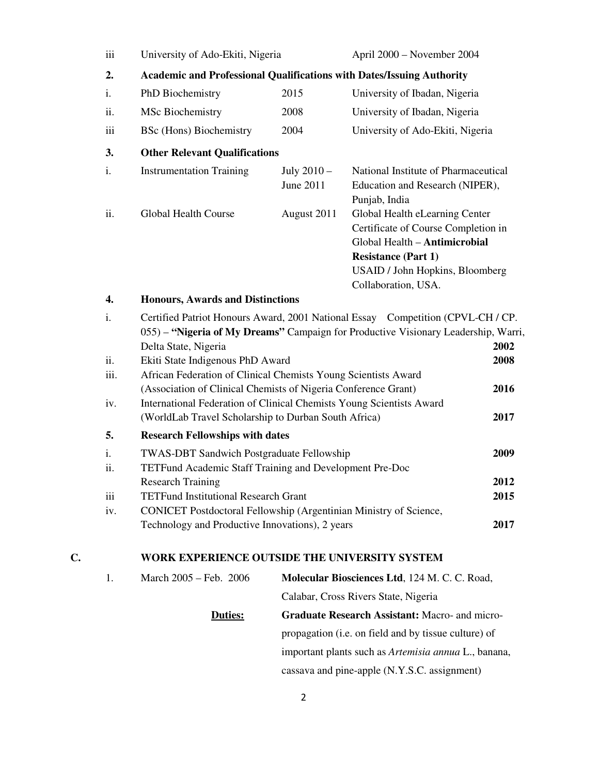|    | iii        | University of Ado-Ekiti, Nigeria                                                                                                                                                               |                          | April 2000 - November 2004                                                                                                                                                                     |              |  |  |
|----|------------|------------------------------------------------------------------------------------------------------------------------------------------------------------------------------------------------|--------------------------|------------------------------------------------------------------------------------------------------------------------------------------------------------------------------------------------|--------------|--|--|
|    | 2.         | Academic and Professional Qualifications with Dates/Issuing Authority                                                                                                                          |                          |                                                                                                                                                                                                |              |  |  |
|    | i.         | PhD Biochemistry                                                                                                                                                                               | 2015                     | University of Ibadan, Nigeria                                                                                                                                                                  |              |  |  |
|    | ii.        | <b>MSc Biochemistry</b>                                                                                                                                                                        | 2008                     | University of Ibadan, Nigeria                                                                                                                                                                  |              |  |  |
|    | iii        | <b>BSc</b> (Hons) Biochemistry                                                                                                                                                                 | 2004                     | University of Ado-Ekiti, Nigeria                                                                                                                                                               |              |  |  |
|    | 3.         | <b>Other Relevant Qualifications</b>                                                                                                                                                           |                          |                                                                                                                                                                                                |              |  |  |
|    | i.         | <b>Instrumentation Training</b>                                                                                                                                                                | July 2010 -<br>June 2011 | National Institute of Pharmaceutical<br>Education and Research (NIPER),<br>Punjab, India                                                                                                       |              |  |  |
|    | ii.        | <b>Global Health Course</b>                                                                                                                                                                    | August 2011              | Global Health eLearning Center<br>Certificate of Course Completion in<br>Global Health - Antimicrobial<br><b>Resistance (Part 1)</b><br>USAID / John Hopkins, Bloomberg<br>Collaboration, USA. |              |  |  |
|    | 4.         | <b>Honours, Awards and Distinctions</b>                                                                                                                                                        |                          |                                                                                                                                                                                                |              |  |  |
|    | i.         | Delta State, Nigeria                                                                                                                                                                           |                          | Certified Patriot Honours Award, 2001 National Essay Competition (CPVL-CH / CP.<br>055) - "Nigeria of My Dreams" Campaign for Productive Visionary Leadership, Warri,                          | 2002         |  |  |
|    | ii.        | Ekiti State Indigenous PhD Award                                                                                                                                                               |                          |                                                                                                                                                                                                | 2008         |  |  |
|    | iii.       | African Federation of Clinical Chemists Young Scientists Award                                                                                                                                 |                          |                                                                                                                                                                                                | 2016         |  |  |
|    | iv.        | (Association of Clinical Chemists of Nigeria Conference Grant)<br>International Federation of Clinical Chemists Young Scientists Award<br>(WorldLab Travel Scholarship to Durban South Africa) |                          |                                                                                                                                                                                                | 2017         |  |  |
|    | 5.         | <b>Research Fellowships with dates</b>                                                                                                                                                         |                          |                                                                                                                                                                                                |              |  |  |
|    | i.<br>ii.  | <b>TWAS-DBT Sandwich Postgraduate Fellowship</b><br>TETFund Academic Staff Training and Development Pre-Doc                                                                                    |                          |                                                                                                                                                                                                | 2009         |  |  |
|    |            | <b>Research Training</b>                                                                                                                                                                       |                          |                                                                                                                                                                                                | 2012         |  |  |
|    | iii<br>iv. | <b>TETFund Institutional Research Grant</b><br>CONICET Postdoctoral Fellowship (Argentinian Ministry of Science,<br>Technology and Productive Innovations), 2 years                            |                          |                                                                                                                                                                                                | 2015<br>2017 |  |  |
| C. |            | WORK EXPERIENCE OUTSIDE THE UNIVERSITY SYSTEM                                                                                                                                                  |                          |                                                                                                                                                                                                |              |  |  |
|    | 1.         | March 2005 - Feb. 2006                                                                                                                                                                         |                          | Molecular Biosciences Ltd, 124 M. C. C. Road,                                                                                                                                                  |              |  |  |
|    |            |                                                                                                                                                                                                |                          |                                                                                                                                                                                                |              |  |  |

 Calabar, Cross Rivers State, Nigeria **Duties: Graduate Research Assistant:** Macro- and micro propagation (i.e. on field and by tissue culture) of important plants such as *Artemisia annua* L., banana, cassava and pine-apple (N.Y.S.C. assignment)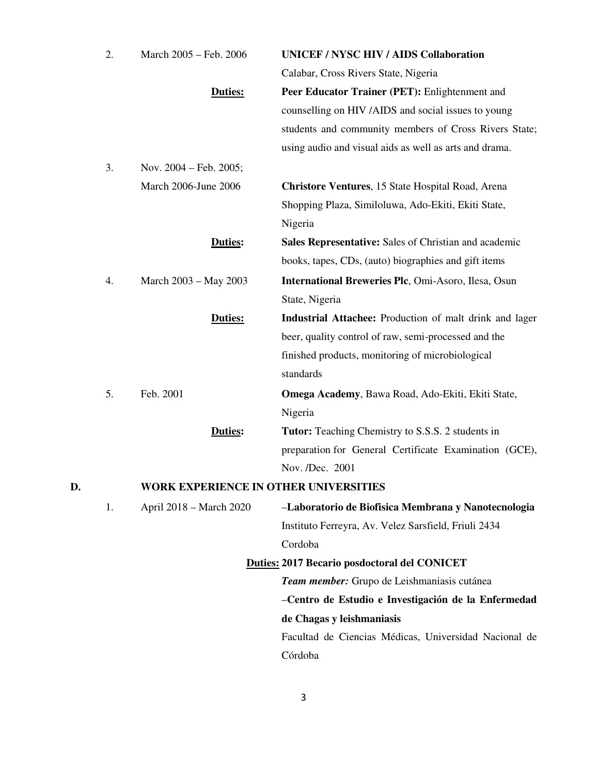|    | 2. | March 2005 - Feb. 2006                | <b>UNICEF / NYSC HIV / AIDS Collaboration</b>           |
|----|----|---------------------------------------|---------------------------------------------------------|
|    |    |                                       | Calabar, Cross Rivers State, Nigeria                    |
|    |    | Duties:                               | Peer Educator Trainer (PET): Enlightenment and          |
|    |    |                                       | counselling on HIV /AIDS and social issues to young     |
|    |    |                                       | students and community members of Cross Rivers State;   |
|    |    |                                       | using audio and visual aids as well as arts and drama.  |
|    | 3. | Nov. 2004 – Feb. 2005;                |                                                         |
|    |    | March 2006-June 2006                  | Christore Ventures, 15 State Hospital Road, Arena       |
|    |    |                                       | Shopping Plaza, Similoluwa, Ado-Ekiti, Ekiti State,     |
|    |    |                                       | Nigeria                                                 |
|    |    | Duties:                               | Sales Representative: Sales of Christian and academic   |
|    |    |                                       | books, tapes, CDs, (auto) biographies and gift items    |
|    | 4. | March 2003 – May 2003                 | International Breweries Plc, Omi-Asoro, Ilesa, Osun     |
|    |    |                                       | State, Nigeria                                          |
|    |    | Duties:                               | Industrial Attachee: Production of malt drink and lager |
|    |    |                                       | beer, quality control of raw, semi-processed and the    |
|    |    |                                       | finished products, monitoring of microbiological        |
|    |    |                                       | standards                                               |
|    | 5. | Feb. 2001                             | Omega Academy, Bawa Road, Ado-Ekiti, Ekiti State,       |
|    |    |                                       | Nigeria                                                 |
|    |    | <b>Duties:</b>                        | Tutor: Teaching Chemistry to S.S.S. 2 students in       |
|    |    |                                       | preparation for General Certificate Examination (GCE),  |
|    |    |                                       | Nov. /Dec. 2001                                         |
| D. |    | WORK EXPERIENCE IN OTHER UNIVERSITIES |                                                         |
|    | 1. | April 2018 - March 2020               | -Laboratorio de Biofisica Membrana y Nanotecnologia     |
|    |    |                                       | Instituto Ferreyra, Av. Velez Sarsfield, Friuli 2434    |
|    |    |                                       | Cordoba                                                 |
|    |    |                                       | <b>Duties: 2017 Becario posdoctoral del CONICET</b>     |
|    |    |                                       | Team member: Grupo de Leishmaniasis cutánea             |
|    |    |                                       | -Centro de Estudio e Investigación de la Enfermedad     |
|    |    |                                       | de Chagas y leishmaniasis                               |
|    |    |                                       | Facultad de Ciencias Médicas, Universidad Nacional de   |
|    |    |                                       | Córdoba                                                 |
|    |    |                                       |                                                         |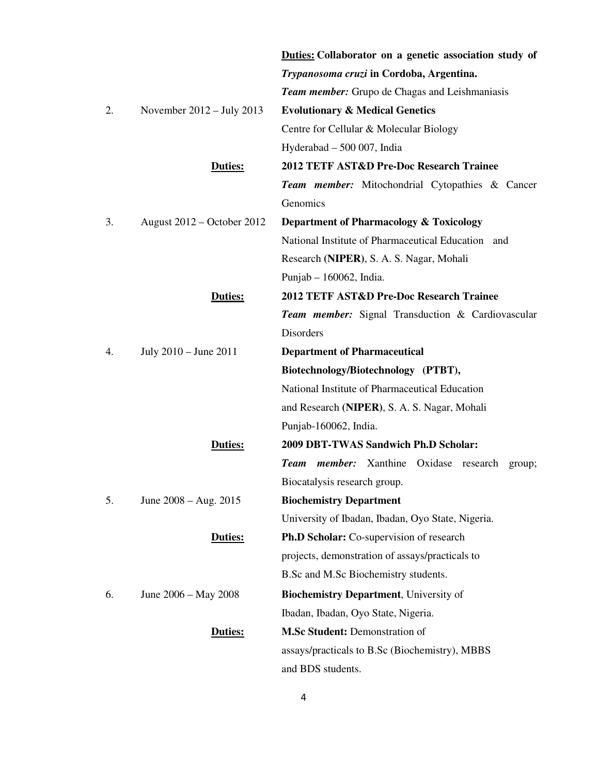|    |                             | Duties: Collaborator on a genetic association study of   |
|----|-----------------------------|----------------------------------------------------------|
|    |                             | Trypanosoma cruzi in Cordoba, Argentina.                 |
|    |                             | <b>Team member:</b> Grupo de Chagas and Leishmaniasis    |
| 2. | November $2012 - July 2013$ | <b>Evolutionary &amp; Medical Genetics</b>               |
|    |                             | Centre for Cellular & Molecular Biology                  |
|    |                             | Hyderabad $-500007$ , India                              |
|    | Duties:                     | 2012 TETF AST&D Pre-Doc Research Trainee                 |
|    |                             | Team member: Mitochondrial Cytopathies & Cancer          |
|    |                             | Genomics                                                 |
| 3. | August 2012 – October 2012  | Department of Pharmacology & Toxicology                  |
|    |                             | National Institute of Pharmaceutical Education and       |
|    |                             | Research (NIPER), S. A. S. Nagar, Mohali                 |
|    |                             | Punjab $-160062$ , India.                                |
|    | Duties:                     | 2012 TETF AST&D Pre-Doc Research Trainee                 |
|    |                             | <b>Team member:</b> Signal Transduction & Cardiovascular |
|    |                             | Disorders                                                |
| 4. | July 2010 - June 2011       | <b>Department of Pharmaceutical</b>                      |
|    |                             | Biotechnology/Biotechnology (PTBT),                      |
|    |                             | National Institute of Pharmaceutical Education           |
|    |                             | and Research (NIPER), S. A. S. Nagar, Mohali             |
|    |                             | Punjab-160062, India.                                    |
|    | <b>Duties:</b>              | 2009 DBT-TWAS Sandwich Ph.D Scholar:                     |
|    |                             | Team member: Xanthine Oxidase research<br>group;         |
|    |                             | Biocatalysis research group.                             |
| 5. | June $2008 - Aug. 2015$     | <b>Biochemistry Department</b>                           |
|    |                             | University of Ibadan, Ibadan, Oyo State, Nigeria.        |
|    | Duties:                     | <b>Ph.D Scholar:</b> Co-supervision of research          |
|    |                             | projects, demonstration of assays/practicals to          |
|    |                             | B.Sc and M.Sc Biochemistry students.                     |
| 6. | June 2006 – May 2008        | <b>Biochemistry Department</b> , University of           |
|    |                             | Ibadan, Ibadan, Oyo State, Nigeria.                      |
|    | Duties:                     | <b>M.Sc Student: Demonstration of</b>                    |
|    |                             | assays/practicals to B.Sc (Biochemistry), MBBS           |
|    |                             | and BDS students.                                        |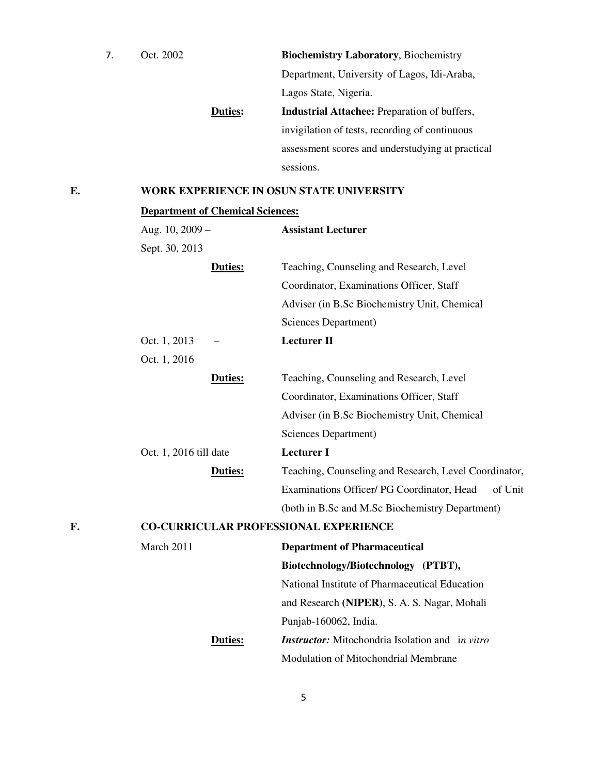|  | Oct. 2002 |                | <b>Biochemistry Laboratory, Biochemistry</b>        |
|--|-----------|----------------|-----------------------------------------------------|
|  |           |                | Department, University of Lagos, Idi-Araba,         |
|  |           |                | Lagos State, Nigeria.                               |
|  |           | <b>Duties:</b> | <b>Industrial Attachee:</b> Preparation of buffers, |
|  |           |                | invigilation of tests, recording of continuous      |
|  |           |                | assessment scores and understudying at practical    |
|  |           |                | sessions.                                           |
|  |           |                |                                                     |

# **E. WORK EXPERIENCE IN OSUN STATE UNIVERSITY**

# **Department of Chemical Sciences:**

|    | Aug. 10, 2009 -        | <b>Assistant Lecturer</b>                              |
|----|------------------------|--------------------------------------------------------|
|    | Sept. 30, 2013         |                                                        |
|    | Duties:                | Teaching, Counseling and Research, Level               |
|    |                        | Coordinator, Examinations Officer, Staff               |
|    |                        | Adviser (in B.Sc Biochemistry Unit, Chemical           |
|    |                        | Sciences Department)                                   |
|    | Oct. 1, 2013           | <b>Lecturer II</b>                                     |
|    | Oct. 1, 2016           |                                                        |
|    | Duties:                | Teaching, Counseling and Research, Level               |
|    |                        | Coordinator, Examinations Officer, Staff               |
|    |                        | Adviser (in B.Sc Biochemistry Unit, Chemical           |
|    |                        | Sciences Department)                                   |
|    | Oct. 1, 2016 till date | <b>Lecturer I</b>                                      |
|    | Duties:                | Teaching, Counseling and Research, Level Coordinator,  |
|    |                        | Examinations Officer/ PG Coordinator, Head<br>of Unit  |
|    |                        | (both in B.Sc and M.Sc Biochemistry Department)        |
| F. |                        | <b>CO-CURRICULAR PROFESSIONAL EXPERIENCE</b>           |
|    | March 2011             | <b>Department of Pharmaceutical</b>                    |
|    |                        | Biotechnology/Biotechnology (PTBT),                    |
|    |                        | National Institute of Pharmaceutical Education         |
|    |                        | and Research (NIPER), S. A. S. Nagar, Mohali           |
|    |                        | Punjab-160062, India.                                  |
|    | Duties:                | <b>Instructor:</b> Mitochondria Isolation and in vitro |
|    |                        | Modulation of Mitochondrial Membrane                   |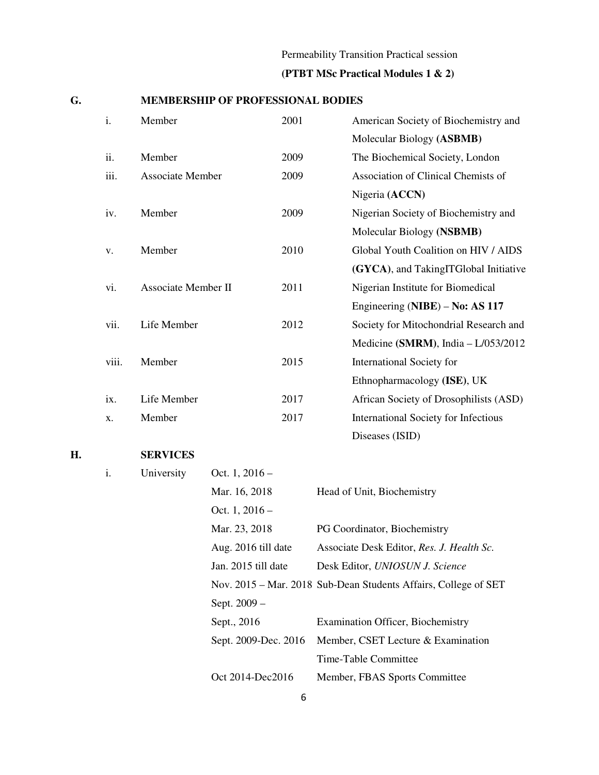# Permeability Transition Practical session **(PTBT MSc Practical Modules 1 & 2)**

## **G. MEMBERSHIP OF PROFESSIONAL BODIES**

| $\mathbf{i}$ . | Member                  | 2001 | American Society of Biochemistry and   |
|----------------|-------------------------|------|----------------------------------------|
|                |                         |      | Molecular Biology (ASBMB)              |
| ii.            | Member                  | 2009 | The Biochemical Society, London        |
| iii.           | <b>Associate Member</b> | 2009 | Association of Clinical Chemists of    |
|                |                         |      | Nigeria (ACCN)                         |
| iv.            | Member                  | 2009 | Nigerian Society of Biochemistry and   |
|                |                         |      | Molecular Biology (NSBMB)              |
| V.             | Member                  | 2010 | Global Youth Coalition on HIV / AIDS   |
|                |                         |      | (GYCA), and TakingITGlobal Initiative  |
| vi.            | Associate Member II     | 2011 | Nigerian Institute for Biomedical      |
|                |                         |      | Engineering (NIBE) – No: AS 117        |
| vii.           | Life Member             | 2012 | Society for Mitochondrial Research and |
|                |                         |      | Medicine (SMRM), India - L/053/2012    |
| viii.          | Member                  | 2015 | <b>International Society for</b>       |
|                |                         |      | Ethnopharmacology (ISE), UK            |
| ix.            | Life Member             | 2017 | African Society of Drosophilists (ASD) |
| X.             | Member                  | 2017 | International Society for Infectious   |
|                |                         |      | Diseases (ISID)                        |

## **H. SERVICES**

| i. | University | Oct. $1, 2016 -$     |                                                                 |
|----|------------|----------------------|-----------------------------------------------------------------|
|    |            | Mar. 16, 2018        | Head of Unit, Biochemistry                                      |
|    |            | Oct. 1, $2016-$      |                                                                 |
|    |            | Mar. 23, 2018        | PG Coordinator, Biochemistry                                    |
|    |            | Aug. 2016 till date  | Associate Desk Editor, Res. J. Health Sc.                       |
|    |            | Jan. 2015 till date  | Desk Editor, UNIOSUN J. Science                                 |
|    |            |                      | Nov. 2015 – Mar. 2018 Sub-Dean Students Affairs, College of SET |
|    |            | Sept. 2009 -         |                                                                 |
|    |            | Sept., 2016          | <b>Examination Officer, Biochemistry</b>                        |
|    |            | Sept. 2009-Dec. 2016 | Member, CSET Lecture & Examination                              |
|    |            |                      | Time-Table Committee                                            |
|    |            | Oct 2014-Dec2016     | Member, FBAS Sports Committee                                   |
|    |            |                      |                                                                 |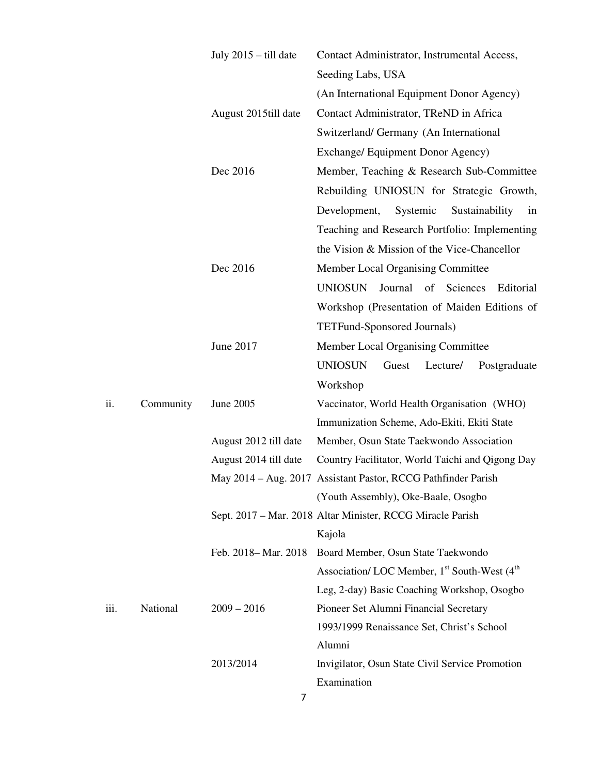|      |           | July 2015 - till date | Contact Administrator, Instrumental Access,                            |
|------|-----------|-----------------------|------------------------------------------------------------------------|
|      |           |                       | Seeding Labs, USA                                                      |
|      |           |                       | (An International Equipment Donor Agency)                              |
|      |           | August 2015till date  | Contact Administrator, TReND in Africa                                 |
|      |           |                       | Switzerland/ Germany (An International                                 |
|      |           |                       | Exchange/ Equipment Donor Agency)                                      |
|      |           | Dec 2016              | Member, Teaching & Research Sub-Committee                              |
|      |           |                       | Rebuilding UNIOSUN for Strategic Growth,                               |
|      |           |                       | Development,<br>Systemic<br>Sustainability<br>in                       |
|      |           |                       | Teaching and Research Portfolio: Implementing                          |
|      |           |                       | the Vision & Mission of the Vice-Chancellor                            |
|      |           | Dec 2016              | Member Local Organising Committee                                      |
|      |           |                       | <b>UNIOSUN</b><br>Journal<br>Sciences<br>of<br>Editorial               |
|      |           |                       | Workshop (Presentation of Maiden Editions of                           |
|      |           |                       | TETFund-Sponsored Journals)                                            |
|      |           | June 2017             | Member Local Organising Committee                                      |
|      |           |                       | <b>UNIOSUN</b><br>Guest<br>Lecture/<br>Postgraduate                    |
|      |           |                       | Workshop                                                               |
| ii.  | Community | June 2005             | Vaccinator, World Health Organisation (WHO)                            |
|      |           |                       | Immunization Scheme, Ado-Ekiti, Ekiti State                            |
|      |           | August 2012 till date | Member, Osun State Taekwondo Association                               |
|      |           | August 2014 till date | Country Facilitator, World Taichi and Qigong Day                       |
|      |           |                       | May 2014 - Aug. 2017 Assistant Pastor, RCCG Pathfinder Parish          |
|      |           |                       | (Youth Assembly), Oke-Baale, Osogbo                                    |
|      |           |                       | Sept. 2017 – Mar. 2018 Altar Minister, RCCG Miracle Parish             |
|      |           |                       | Kajola                                                                 |
|      |           | Feb. 2018–Mar. 2018   | Board Member, Osun State Taekwondo                                     |
|      |           |                       | Association/ LOC Member, 1 <sup>st</sup> South-West (4 <sup>th</sup> ) |
|      |           |                       | Leg, 2-day) Basic Coaching Workshop, Osogbo                            |
| iii. | National  | $2009 - 2016$         | Pioneer Set Alumni Financial Secretary                                 |
|      |           |                       | 1993/1999 Renaissance Set, Christ's School                             |
|      |           |                       | Alumni                                                                 |
|      |           | 2013/2014             | Invigilator, Osun State Civil Service Promotion                        |
|      |           |                       | Examination                                                            |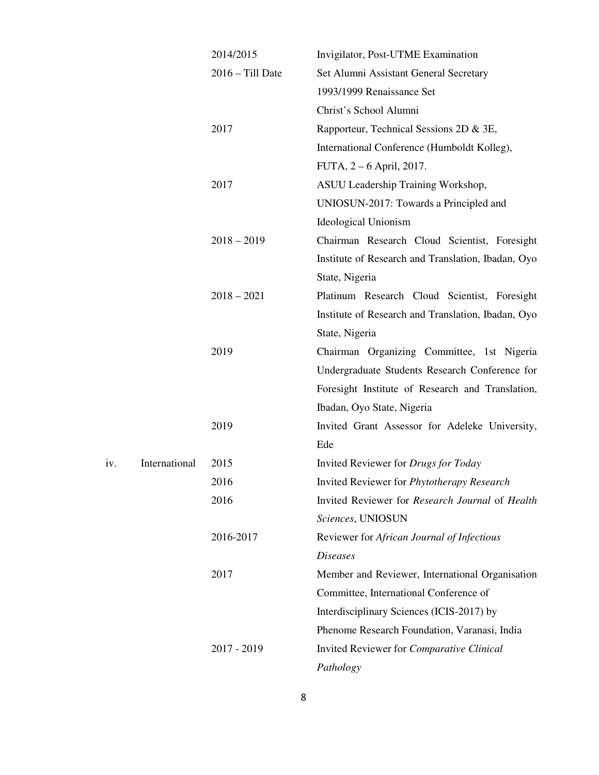|     |               | 2014/2015          | Invigilator, Post-UTME Examination                 |
|-----|---------------|--------------------|----------------------------------------------------|
|     |               | $2016 - Till$ Date | Set Alumni Assistant General Secretary             |
|     |               |                    | 1993/1999 Renaissance Set                          |
|     |               |                    | Christ's School Alumni                             |
|     |               | 2017               | Rapporteur, Technical Sessions 2D & 3E,            |
|     |               |                    | International Conference (Humboldt Kolleg),        |
|     |               |                    | FUTA, 2 – 6 April, 2017.                           |
|     |               | 2017               | ASUU Leadership Training Workshop,                 |
|     |               |                    | UNIOSUN-2017: Towards a Principled and             |
|     |               |                    | <b>Ideological Unionism</b>                        |
|     |               | $2018 - 2019$      | Chairman Research Cloud Scientist, Foresight       |
|     |               |                    | Institute of Research and Translation, Ibadan, Oyo |
|     |               |                    | State, Nigeria                                     |
|     |               | $2018 - 2021$      | Platinum Research Cloud Scientist, Foresight       |
|     |               |                    | Institute of Research and Translation, Ibadan, Oyo |
|     |               |                    | State, Nigeria                                     |
|     |               | 2019               | Chairman Organizing Committee, 1st Nigeria         |
|     |               |                    | Undergraduate Students Research Conference for     |
|     |               |                    | Foresight Institute of Research and Translation,   |
|     |               |                    | Ibadan, Oyo State, Nigeria                         |
|     |               | 2019               | Invited Grant Assessor for Adeleke University,     |
|     |               |                    | Ede                                                |
| iv. | International | 2015               | Invited Reviewer for Drugs for Today               |
|     |               | 2016               | Invited Reviewer for Phytotherapy Research         |
|     |               | 2016               | Invited Reviewer for Research Journal of Health    |
|     |               |                    | Sciences, UNIOSUN                                  |
|     |               | 2016-2017          | Reviewer for African Journal of Infectious         |
|     |               |                    | <b>Diseases</b>                                    |
|     |               | 2017               | Member and Reviewer, International Organisation    |
|     |               |                    | Committee, International Conference of             |
|     |               |                    | Interdisciplinary Sciences (ICIS-2017) by          |
|     |               |                    | Phenome Research Foundation, Varanasi, India       |
|     |               | 2017 - 2019        | Invited Reviewer for Comparative Clinical          |
|     |               |                    | Pathology                                          |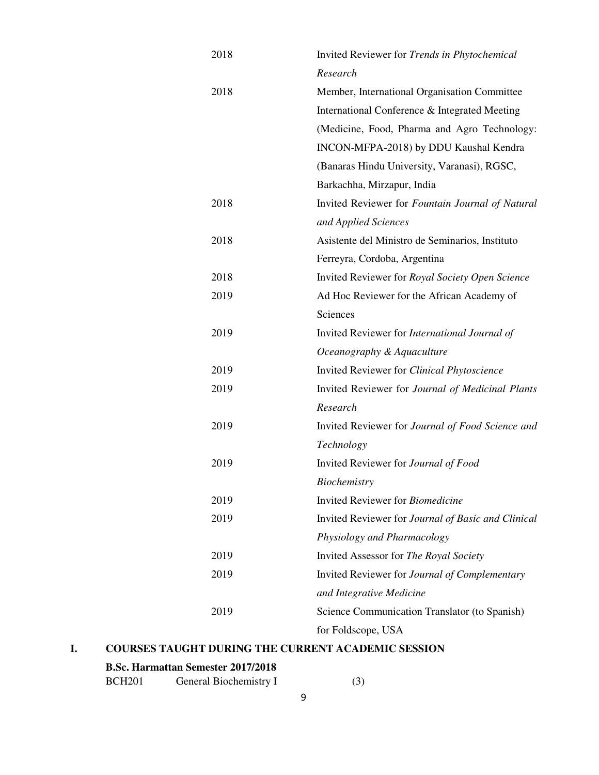| 2018 | Invited Reviewer for Trends in Phytochemical       |
|------|----------------------------------------------------|
|      | Research                                           |
| 2018 | Member, International Organisation Committee       |
|      | International Conference & Integrated Meeting      |
|      | (Medicine, Food, Pharma and Agro Technology:       |
|      | INCON-MFPA-2018) by DDU Kaushal Kendra             |
|      | (Banaras Hindu University, Varanasi), RGSC,        |
|      | Barkachha, Mirzapur, India                         |
| 2018 | Invited Reviewer for Fountain Journal of Natural   |
|      | and Applied Sciences                               |
| 2018 | Asistente del Ministro de Seminarios, Instituto    |
|      | Ferreyra, Cordoba, Argentina                       |
| 2018 | Invited Reviewer for Royal Society Open Science    |
| 2019 | Ad Hoc Reviewer for the African Academy of         |
|      | Sciences                                           |
| 2019 | Invited Reviewer for International Journal of      |
|      | Oceanography & Aquaculture                         |
| 2019 | Invited Reviewer for Clinical Phytoscience         |
| 2019 | Invited Reviewer for Journal of Medicinal Plants   |
|      | Research                                           |
| 2019 | Invited Reviewer for Journal of Food Science and   |
|      | Technology                                         |
| 2019 | Invited Reviewer for Journal of Food               |
|      | <i>Biochemistry</i>                                |
| 2019 | Invited Reviewer for Biomedicine                   |
| 2019 | Invited Reviewer for Journal of Basic and Clinical |
|      | Physiology and Pharmacology                        |
| 2019 | Invited Assessor for The Royal Society             |
| 2019 | Invited Reviewer for Journal of Complementary      |
|      | and Integrative Medicine                           |
| 2019 | Science Communication Translator (to Spanish)      |
|      | for Foldscope, USA                                 |

# **I. COURSES TAUGHT DURING THE CURRENT ACADEMIC SESSION**

## **B.Sc. Harmattan Semester 2017/2018**

| <b>BCH201</b> | General Biochemistry I |  |
|---------------|------------------------|--|
|               |                        |  |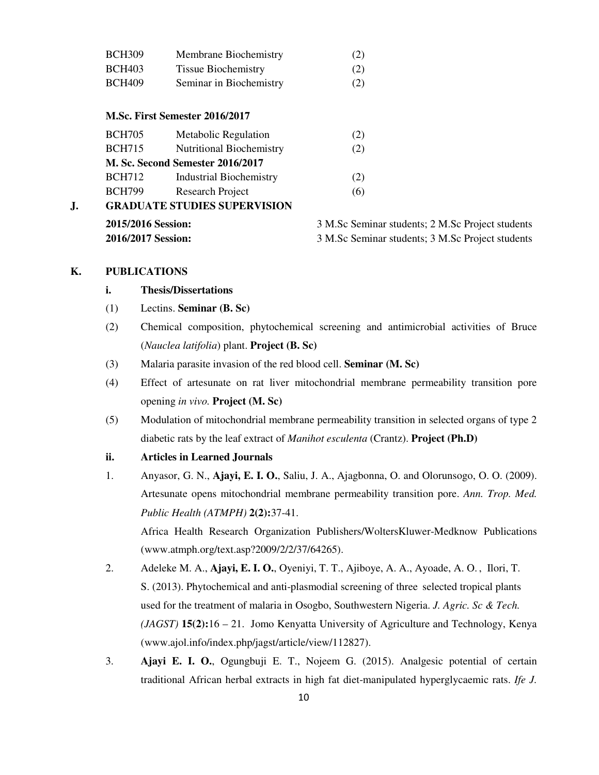| <b>BCH309</b> | Membrane Biochemistry      | (2) |
|---------------|----------------------------|-----|
| <b>BCH403</b> | <b>Tissue Biochemistry</b> | (2) |
| <b>BCH409</b> | Seminar in Biochemistry    | (2) |

#### **M.Sc. First Semester 2016/2017**

|    | 2015/2016 Session:                  |                                  | 3 M.Sc Sen |
|----|-------------------------------------|----------------------------------|------------|
| J. | <b>GRADUATE STUDIES SUPERVISION</b> |                                  |            |
|    | <b>BCH799</b>                       | Research Project                 | (6)        |
|    | <b>BCH712</b>                       | <b>Industrial Biochemistry</b>   | (2)        |
|    |                                     | M. Sc. Second Semester 2016/2017 |            |
|    | <b>BCH715</b>                       | <b>Nutritional Biochemistry</b>  | (2)        |
|    | <b>BCH705</b>                       | Metabolic Regulation             | (2)        |
|    |                                     |                                  |            |

**2015** Separate: **2 M.Sc Project students 2016/2017 Session:** 3 M.Sc Seminar students; 3 M.Sc Project students

## **K. PUBLICATIONS**

## **i. Thesis/Dissertations**

- (1) Lectins. **Seminar (B. Sc)**
- (2) Chemical composition, phytochemical screening and antimicrobial activities of Bruce (*Nauclea latifolia*) plant. **Project (B. Sc)**
- (3) Malaria parasite invasion of the red blood cell. **Seminar (M. Sc)**
- (4) Effect of artesunate on rat liver mitochondrial membrane permeability transition pore opening *in vivo.* **Project (M. Sc)**
- (5) Modulation of mitochondrial membrane permeability transition in selected organs of type 2 diabetic rats by the leaf extract of *Manihot esculenta* (Crantz). **Project (Ph.D)**

## **ii. Articles in Learned Journals**

1. Anyasor, G. N., **Ajayi, E. I. O.**, Saliu, J. A., Ajagbonna, O. and Olorunsogo, O. O. (2009). Artesunate opens mitochondrial membrane permeability transition pore. *Ann. Trop. Med. Public Health (ATMPH)* **2(2):**37-41.

 Africa Health Research Organization Publishers/WoltersKluwer-Medknow Publications (www.atmph.org/text.asp?2009/2/2/37/64265).

- 2. Adeleke M. A., **Ajayi, E. I. O.**, Oyeniyi, T. T., Ajiboye, A. A., Ayoade, A. O. , Ilori, T. S. (2013). Phytochemical and anti-plasmodial screening of three selected tropical plants used for the treatment of malaria in Osogbo, Southwestern Nigeria. *J. Agric. Sc & Tech. (JAGST)* **15(2):**16 – 21. Jomo Kenyatta University of Agriculture and Technology, Kenya (www.ajol.info/index.php/jagst/article/view/112827).
- 3. **Ajayi E. I. O.**, Ogungbuji E. T., Nojeem G. (2015). Analgesic potential of certain traditional African herbal extracts in high fat diet-manipulated hyperglycaemic rats. *Ife J.*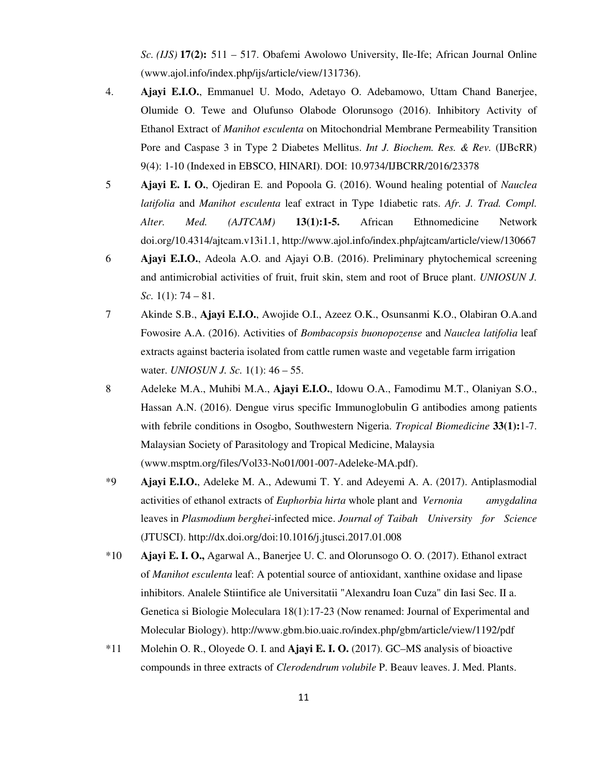*Sc. (IJS)* **17(2):** 511 – 517. Obafemi Awolowo University, Ile-Ife; African Journal Online (www.ajol.info/index.php/ijs/article/view/131736).

- 4. **Ajayi E.I.O.**, Emmanuel U. Modo, Adetayo O. Adebamowo, Uttam Chand Banerjee, Olumide O. Tewe and Olufunso Olabode Olorunsogo (2016). Inhibitory Activity of Ethanol Extract of *Manihot esculenta* on Mitochondrial Membrane Permeability Transition Pore and Caspase 3 in Type 2 Diabetes Mellitus. *Int J. Biochem. Res. & Rev.* (IJBcRR) 9(4): 1-10 (Indexed in EBSCO, HINARI). DOI: 10.9734/IJBCRR/2016/23378
- 5 **Ajayi E. I. O.**, Ojediran E. and Popoola G. (2016). Wound healing potential of *Nauclea latifolia* and *Manihot esculenta* leaf extract in Type 1diabetic rats. *Afr. J. Trad. Compl. Alter. Med. (AJTCAM)* **13(1):1-5.** African Ethnomedicine Network doi.org/10.4314/ajtcam.v13i1.1, http://www.ajol.info/index.php/ajtcam/article/view/130667
- 6 **Ajayi E.I.O.**, Adeola A.O. and Ajayi O.B. (2016). Preliminary phytochemical screening and antimicrobial activities of fruit, fruit skin, stem and root of Bruce plant. *UNIOSUN J. Sc.* 1(1): 74 – 81.
- 7 Akinde S.B., **Ajayi E.I.O.**, Awojide O.I., Azeez O.K., Osunsanmi K.O., Olabiran O.A.and Fowosire A.A. (2016). Activities of *Bombacopsis buonopozense* and *Nauclea latifolia* leaf extracts against bacteria isolated from cattle rumen waste and vegetable farm irrigation water. *UNIOSUN J. Sc.* 1(1): 46 – 55.
- 8 Adeleke M.A., Muhibi M.A., **Ajayi E.I.O.**, Idowu O.A., Famodimu M.T., Olaniyan S.O., Hassan A.N. (2016). Dengue virus specific Immunoglobulin G antibodies among patients with febrile conditions in Osogbo, Southwestern Nigeria. *Tropical Biomedicine* **33(1):**1-7. Malaysian Society of Parasitology and Tropical Medicine, Malaysia (www.msptm.org/files/Vol33-No01/001-007-Adeleke-MA.pdf).
- \*9 **Ajayi E.I.O.**, Adeleke M. A., Adewumi T. Y. and Adeyemi A. A. (2017). Antiplasmodial activities of ethanol extracts of *Euphorbia hirta* whole plant and *Vernonia amygdalina*  leaves in *Plasmodium berghei*-infected mice. *Journal of Taibah University for Science*  (JTUSCI). http://dx.doi.org/doi:10.1016/j.jtusci.2017.01.008
- \*10 **Ajayi E. I. O.,** Agarwal A., Banerjee U. C. and Olorunsogo O. O. (2017). Ethanol extract of *Manihot esculenta* leaf: A potential source of antioxidant, xanthine oxidase and lipase inhibitors. Analele Stiintifice ale Universitatii "Alexandru Ioan Cuza" din Iasi Sec. II a. Genetica si Biologie Moleculara 18(1):17-23 (Now renamed: Journal of Experimental and Molecular Biology). http://www.gbm.bio.uaic.ro/index.php/gbm/article/view/1192/pdf
- \*11 Molehin O. R., Oloyede O. I. and **Ajayi E. I. O.** (2017). GC–MS analysis of bioactive compounds in three extracts of *Clerodendrum volubile* P. Beauv leaves. J. Med. Plants.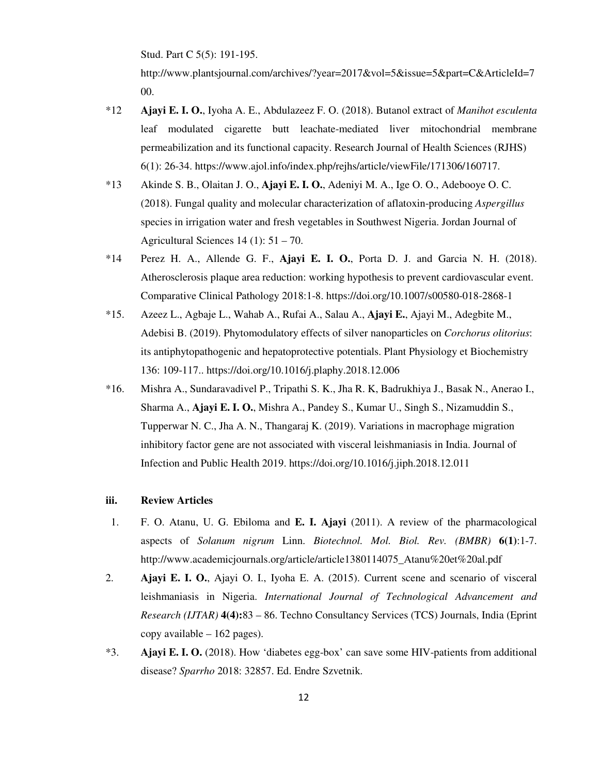Stud. Part C 5(5): 191-195.

http://www.plantsjournal.com/archives/?year=2017&vol=5&issue=5&part=C&ArticleId=7 00.

- \*12 **Ajayi E. I. O.**, Iyoha A. E., Abdulazeez F. O. (2018). Butanol extract of *Manihot esculenta* leaf modulated cigarette butt leachate-mediated liver mitochondrial membrane permeabilization and its functional capacity. Research Journal of Health Sciences (RJHS) 6(1): 26-34. https://www.ajol.info/index.php/rejhs/article/viewFile/171306/160717.
- \*13 Akinde S. B., Olaitan J. O., **Ajayi E. I. O.**, Adeniyi M. A., Ige O. O., Adebooye O. C. (2018). Fungal quality and molecular characterization of aflatoxin-producing *Aspergillus* species in irrigation water and fresh vegetables in Southwest Nigeria. Jordan Journal of Agricultural Sciences 14 (1): 51 – 70.
- \*14 Perez H. A., Allende G. F., **Ajayi E. I. O.**, Porta D. J. and Garcia N. H. (2018). Atherosclerosis plaque area reduction: working hypothesis to prevent cardiovascular event. Comparative Clinical Pathology 2018:1-8. https://doi.org/10.1007/s00580-018-2868-1
- \*15. Azeez L., Agbaje L., Wahab A., Rufai A., Salau A., **Ajayi E.**, Ajayi M., Adegbite M., Adebisi B. (2019). Phytomodulatory effects of silver nanoparticles on *Corchorus olitorius*: its antiphytopathogenic and hepatoprotective potentials. Plant Physiology et Biochemistry 136: 109-117.. https://doi.org/10.1016/j.plaphy.2018.12.006
- \*16. Mishra A., Sundaravadivel P., Tripathi S. K., Jha R. K, Badrukhiya J., Basak N., Anerao I., Sharma A., **Ajayi E. I. O.**, Mishra A., Pandey S., Kumar U., Singh S., Nizamuddin S., Tupperwar N. C., Jha A. N., Thangaraj K. (2019). Variations in macrophage migration inhibitory factor gene are not associated with visceral leishmaniasis in India. Journal of Infection and Public Health 2019. https://doi.org/10.1016/j.jiph.2018.12.011

## **iii. Review Articles**

- 1. F. O. Atanu, U. G. Ebiloma and **E. I. Ajayi** (2011). A review of the pharmacological aspects of *Solanum nigrum* Linn. *Biotechnol. Mol. Biol. Rev. (BMBR)* **6(1)**:1-7. http://www.academicjournals.org/article/article1380114075\_Atanu%20et%20al.pdf
- 2. **Ajayi E. I. O.**, Ajayi O. I., Iyoha E. A. (2015). Current scene and scenario of visceral leishmaniasis in Nigeria. *International Journal of Technological Advancement and Research (IJTAR)* **4(4):**83 – 86. Techno Consultancy Services (TCS) Journals, India (Eprint copy available – 162 pages).
- \*3. **Ajayi E. I. O.** (2018). How 'diabetes egg-box' can save some HIV-patients from additional disease? *Sparrho* 2018: 32857. Ed. Endre Szvetnik.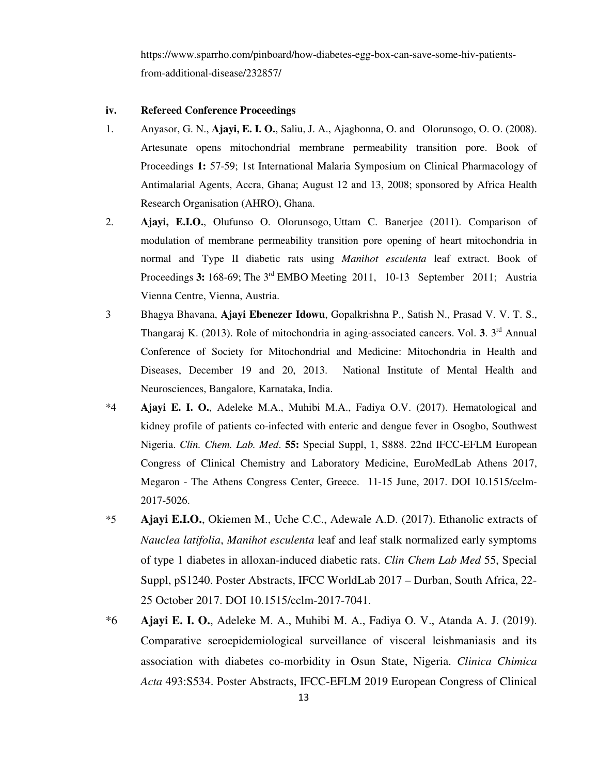https://www.sparrho.com/pinboard/how-diabetes-egg-box-can-save-some-hiv-patientsfrom-additional-disease/232857/

#### **iv. Refereed Conference Proceedings**

- 1. Anyasor, G. N., **Ajayi, E. I. O.**, Saliu, J. A., Ajagbonna, O. and Olorunsogo, O. O. (2008). Artesunate opens mitochondrial membrane permeability transition pore. Book of Proceedings **1:** 57-59; 1st International Malaria Symposium on Clinical Pharmacology of Antimalarial Agents, Accra, Ghana; August 12 and 13, 2008; sponsored by Africa Health Research Organisation (AHRO), Ghana.
- 2. **Ajayi, E.I.O.**, Olufunso O. Olorunsogo, Uttam C. Banerjee (2011). Comparison of modulation of membrane permeability transition pore opening of heart mitochondria in normal and Type II diabetic rats using *Manihot esculenta* leaf extract. Book of Proceedings 3: 168-69; The 3<sup>rd</sup> EMBO Meeting 2011, 10-13 September 2011; Austria Vienna Centre, Vienna, Austria.
- 3 Bhagya Bhavana, **Ajayi Ebenezer Idowu**, Gopalkrishna P., Satish N., Prasad V. V. T. S., Thangaraj K. (2013). Role of mitochondria in aging-associated cancers. Vol. **3**. 3rd Annual Conference of Society for Mitochondrial and Medicine: Mitochondria in Health and Diseases, December 19 and 20, 2013. National Institute of Mental Health and Neurosciences, Bangalore, Karnataka, India.
- \*4 **Ajayi E. I. O.**, Adeleke M.A., Muhibi M.A., Fadiya O.V. (2017). Hematological and kidney profile of patients co-infected with enteric and dengue fever in Osogbo, Southwest Nigeria. *Clin. Chem. Lab. Med*. **55:** Special Suppl, 1, S888. 22nd IFCC-EFLM European Congress of Clinical Chemistry and Laboratory Medicine, EuroMedLab Athens 2017, Megaron - The Athens Congress Center, Greece. 11-15 June, 2017. DOI 10.1515/cclm- 2017-5026.
- \*5 **Ajayi E.I.O.**, Okiemen M., Uche C.C., Adewale A.D. (2017). Ethanolic extracts of *Nauclea latifolia*, *Manihot esculenta* leaf and leaf stalk normalized early symptoms of type 1 diabetes in alloxan-induced diabetic rats. *Clin Chem Lab Med* 55, Special Suppl, pS1240. Poster Abstracts, IFCC WorldLab 2017 – Durban, South Africa, 22- 25 October 2017. DOI 10.1515/cclm-2017-7041.
- \*6 **Ajayi E. I. O.**, Adeleke M. A., Muhibi M. A., Fadiya O. V., Atanda A. J. (2019). Comparative seroepidemiological surveillance of visceral leishmaniasis and its association with diabetes co-morbidity in Osun State, Nigeria. *Clinica Chimica Acta* 493:S534. Poster Abstracts, IFCC-EFLM 2019 European Congress of Clinical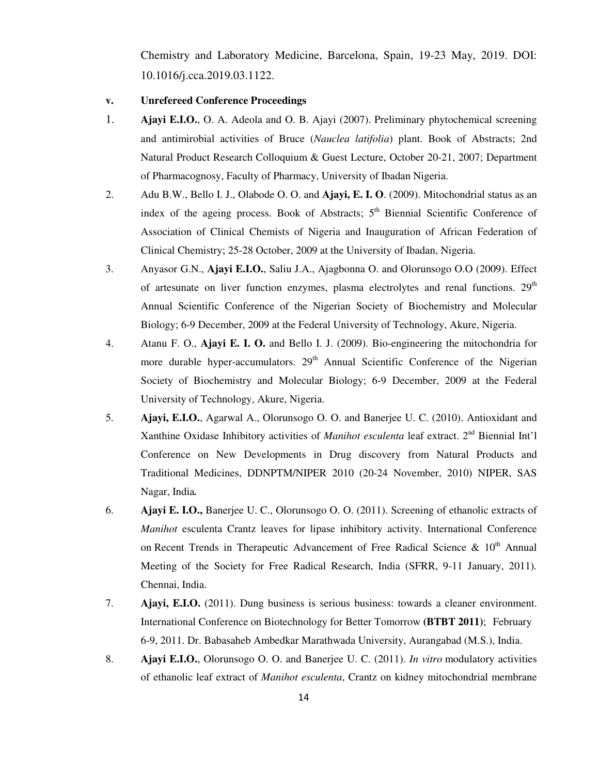Chemistry and Laboratory Medicine, Barcelona, Spain, 19-23 May, 2019. DOI: 10.1016/j.cca.2019.03.1122.

#### **v. Unrefereed Conference Proceedings**

- 1. **Ajayi E.I.O.**, O. A. Adeola and O. B. Ajayi (2007). Preliminary phytochemical screening and antimirobial activities of Bruce (*Nauclea latifolia*) plant. Book of Abstracts; 2nd Natural Product Research Colloquium & Guest Lecture, October 20-21, 2007; Department of Pharmacognosy, Faculty of Pharmacy, University of Ibadan Nigeria.
- 2. Adu B.W., Bello I. J., Olabode O. O. and **Ajayi, E. I. O**. (2009). Mitochondrial status as an index of the ageing process. Book of Abstracts;  $5<sup>th</sup>$  Biennial Scientific Conference of Association of Clinical Chemists of Nigeria and Inauguration of African Federation of Clinical Chemistry; 25-28 October, 2009 at the University of Ibadan, Nigeria.
- 3. Anyasor G.N., **Ajayi E.I.O.**, Saliu J.A., Ajagbonna O. and Olorunsogo O.O (2009). Effect of artesunate on liver function enzymes, plasma electrolytes and renal functions.  $29<sup>th</sup>$ Annual Scientific Conference of the Nigerian Society of Biochemistry and Molecular Biology; 6-9 December, 2009 at the Federal University of Technology, Akure, Nigeria.
- 4. Atanu F. O., **Ajayi E. I. O.** and Bello I. J. (2009). Bio-engineering the mitochondria for more durable hyper-accumulators.  $29<sup>th</sup>$  Annual Scientific Conference of the Nigerian Society of Biochemistry and Molecular Biology; 6-9 December, 2009 at the Federal University of Technology, Akure, Nigeria.
- 5. **Ajayi, E.I.O.**, Agarwal A., Olorunsogo O. O. and Banerjee U. C. (2010). Antioxidant and Xanthine Oxidase Inhibitory activities of *Manihot esculenta* leaf extract. 2<sup>nd</sup> Biennial Int'l Conference on New Developments in Drug discovery from Natural Products and Traditional Medicines, DDNPTM/NIPER 2010 (20-24 November, 2010) NIPER, SAS Nagar, India*.*
- 6. **Ajayi E. I.O.,** Banerjee U. C., Olorunsogo O. O. (2011). Screening of ethanolic extracts of *Manihot* esculenta Crantz leaves for lipase inhibitory activity. International Conference on Recent Trends in Therapeutic Advancement of Free Radical Science  $\&$  10<sup>th</sup> Annual Meeting of the Society for Free Radical Research, India (SFRR, 9-11 January, 2011)*.*  Chennai, India.
- 7. **Ajayi, E.I.O.** (2011). Dung business is serious business: towards a cleaner environment. International Conference on Biotechnology for Better Tomorrow **(BTBT 2011)**; February 6-9, 2011. Dr. Babasaheb Ambedkar Marathwada University, Aurangabad (M.S.), India.
- 8. **Ajayi E.I.O.**, Olorunsogo O. O. and Banerjee U. C. (2011). *In vitro* modulatory activities of ethanolic leaf extract of *Manihot esculenta*, Crantz on kidney mitochondrial membrane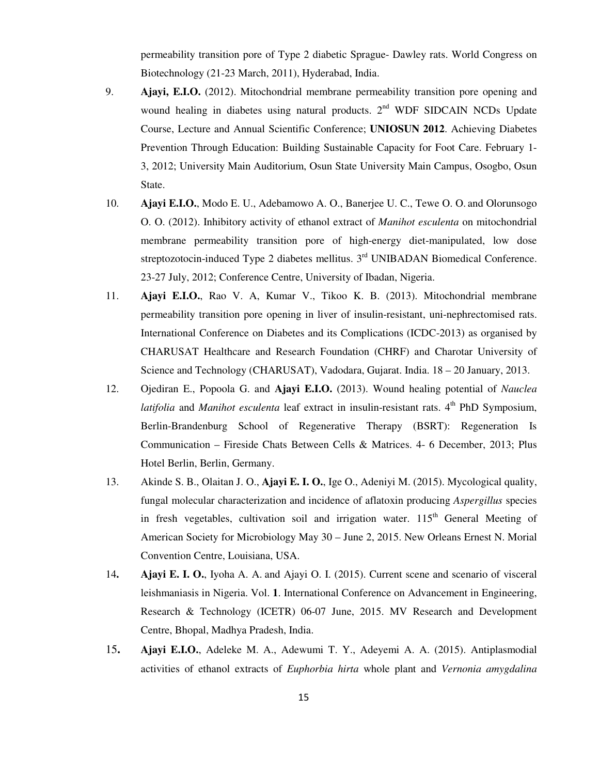permeability transition pore of Type 2 diabetic Sprague- Dawley rats. World Congress on Biotechnology (21-23 March, 2011), Hyderabad, India.

- 9. **Ajayi, E.I.O.** (2012). Mitochondrial membrane permeability transition pore opening and wound healing in diabetes using natural products. 2<sup>nd</sup> WDF SIDCAIN NCDs Update Course, Lecture and Annual Scientific Conference; **UNIOSUN 2012**. Achieving Diabetes Prevention Through Education: Building Sustainable Capacity for Foot Care. February 1- 3, 2012; University Main Auditorium, Osun State University Main Campus, Osogbo, Osun State.
- 10. **Ajayi E.I.O.**, Modo E. U., Adebamowo A. O., Banerjee U. C., Tewe O. O. and Olorunsogo O. O. (2012). Inhibitory activity of ethanol extract of *Manihot esculenta* on mitochondrial membrane permeability transition pore of high-energy diet-manipulated, low dose streptozotocin-induced Type 2 diabetes mellitus. 3<sup>rd</sup> UNIBADAN Biomedical Conference. 23-27 July, 2012; Conference Centre, University of Ibadan, Nigeria.
- 11. **Ajayi E.I.O.**, Rao V. A, Kumar V., Tikoo K. B. (2013). Mitochondrial membrane permeability transition pore opening in liver of insulin-resistant, uni-nephrectomised rats. International Conference on Diabetes and its Complications (ICDC-2013) as organised by CHARUSAT Healthcare and Research Foundation (CHRF) and Charotar University of Science and Technology (CHARUSAT), Vadodara, Gujarat. India. 18 – 20 January, 2013.
- 12. Ojediran E., Popoola G. and **Ajayi E.I.O.** (2013). Wound healing potential of *Nauclea latifolia* and *Manihot esculenta* leaf extract in insulin-resistant rats. 4<sup>th</sup> PhD Symposium, Berlin-Brandenburg School of Regenerative Therapy (BSRT): Regeneration Is Communication – Fireside Chats Between Cells & Matrices. 4- 6 December, 2013; Plus Hotel Berlin, Berlin, Germany.
- 13. Akinde S. B., Olaitan J. O., **Ajayi E. I. O.**, Ige O., Adeniyi M. (2015). Mycological quality, fungal molecular characterization and incidence of aflatoxin producing *Aspergillus* species in fresh vegetables, cultivation soil and irrigation water. 115<sup>th</sup> General Meeting of American Society for Microbiology May 30 – June 2, 2015. New Orleans Ernest N. Morial Convention Centre, Louisiana, USA.
- 14**. Ajayi E. I. O.**, Iyoha A. A. and Ajayi O. I. (2015). Current scene and scenario of visceral leishmaniasis in Nigeria. Vol. **1**. International Conference on Advancement in Engineering, Research & Technology (ICETR) 06-07 June, 2015. MV Research and Development Centre, Bhopal, Madhya Pradesh, India.
- 15**. Ajayi E.I.O.**, Adeleke M. A., Adewumi T. Y., Adeyemi A. A. (2015). Antiplasmodial activities of ethanol extracts of *Euphorbia hirta* whole plant and *Vernonia amygdalina*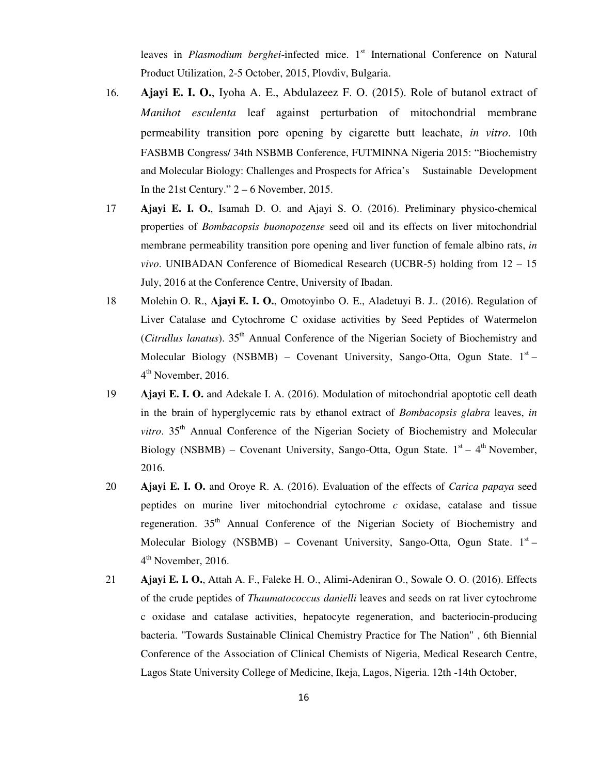leaves in *Plasmodium berghei*-infected mice. 1<sup>st</sup> International Conference on Natural Product Utilization, 2-5 October, 2015, Plovdiv, Bulgaria.

- 16. **Ajayi E. I. O.**, Iyoha A. E., Abdulazeez F. O. (2015). Role of butanol extract of *Manihot esculenta* leaf against perturbation of mitochondrial membrane permeability transition pore opening by cigarette butt leachate, *in vitro*. 10th FASBMB Congress/ 34th NSBMB Conference, FUTMINNA Nigeria 2015: "Biochemistry and Molecular Biology: Challenges and Prospects for Africa's Sustainable Development In the 21st Century."  $2 - 6$  November, 2015.
- 17 **Ajayi E. I. O.**, Isamah D. O. and Ajayi S. O. (2016). Preliminary physico-chemical properties of *Bombacopsis buonopozense* seed oil and its effects on liver mitochondrial membrane permeability transition pore opening and liver function of female albino rats, *in vivo*. UNIBADAN Conference of Biomedical Research (UCBR-5) holding from 12 – 15 July, 2016 at the Conference Centre, University of Ibadan.
- 18 Molehin O. R., **Ajayi E. I. O.**, Omotoyinbo O. E., Aladetuyi B. J.. (2016). Regulation of Liver Catalase and Cytochrome C oxidase activities by Seed Peptides of Watermelon (*Citrullus lanatus*). 35th Annual Conference of the Nigerian Society of Biochemistry and Molecular Biology (NSBMB) – Covenant University, Sango-Otta, Ogun State.  $1<sup>st</sup>$  – 4<sup>th</sup> November, 2016.
- 19 **Ajayi E. I. O.** and Adekale I. A. (2016). Modulation of mitochondrial apoptotic cell death in the brain of hyperglycemic rats by ethanol extract of *Bombacopsis glabra* leaves, *in vitro*. 35<sup>th</sup> Annual Conference of the Nigerian Society of Biochemistry and Molecular Biology (NSBMB) – Covenant University, Sango-Otta, Ogun State.  $1<sup>st</sup> - 4<sup>th</sup>$  November, 2016.
- 20 **Ajayi E. I. O.** and Oroye R. A. (2016). Evaluation of the effects of *Carica papaya* seed peptides on murine liver mitochondrial cytochrome *c* oxidase, catalase and tissue regeneration.  $35<sup>th</sup>$  Annual Conference of the Nigerian Society of Biochemistry and Molecular Biology (NSBMB) – Covenant University, Sango-Otta, Ogun State.  $1<sup>st</sup>$  – 4<sup>th</sup> November, 2016.
- 21 **Ajayi E. I. O.**, Attah A. F., Faleke H. O., Alimi-Adeniran O., Sowale O. O. (2016). Effects of the crude peptides of *Thaumatococcus danielli* leaves and seeds on rat liver cytochrome c oxidase and catalase activities, hepatocyte regeneration, and bacteriocin-producing bacteria. "Towards Sustainable Clinical Chemistry Practice for The Nation" , 6th Biennial Conference of the Association of Clinical Chemists of Nigeria, Medical Research Centre, Lagos State University College of Medicine, Ikeja, Lagos, Nigeria. 12th -14th October,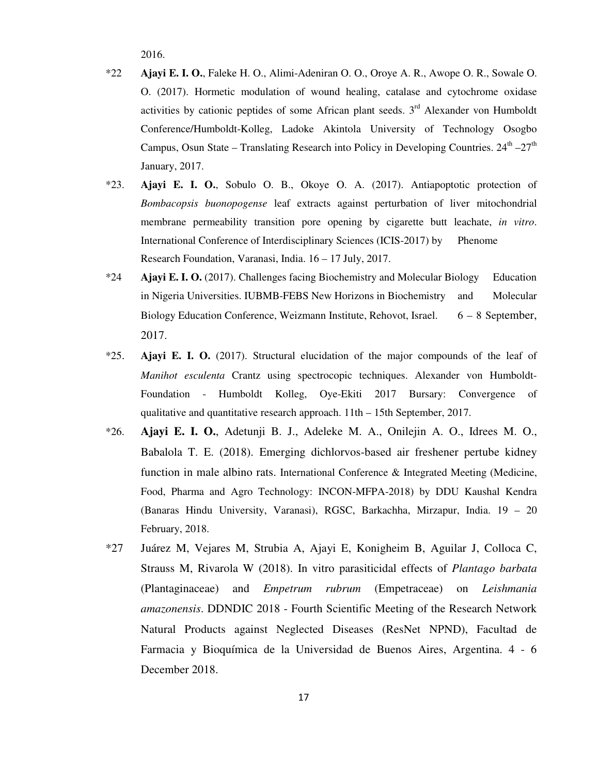2016.

- \*22 **Ajayi E. I. O.**, Faleke H. O., Alimi-Adeniran O. O., Oroye A. R., Awope O. R., Sowale O. O. (2017). Hormetic modulation of wound healing, catalase and cytochrome oxidase activities by cationic peptides of some African plant seeds.  $3<sup>rd</sup>$  Alexander von Humboldt Conference/Humboldt-Kolleg, Ladoke Akintola University of Technology Osogbo Campus, Osun State – Translating Research into Policy in Developing Countries.  $24<sup>th</sup> - 27<sup>th</sup>$ January, 2017.
- \*23. **Ajayi E. I. O.**, Sobulo O. B., Okoye O. A. (2017). Antiapoptotic protection of *Bombacopsis buonopogense* leaf extracts against perturbation of liver mitochondrial membrane permeability transition pore opening by cigarette butt leachate, *in vitro*. International Conference of Interdisciplinary Sciences (ICIS-2017) by Phenome Research Foundation, Varanasi, India. 16 – 17 July, 2017.
- \*24 **Ajayi E. I. O.** (2017). Challenges facing Biochemistry and Molecular Biology Education in Nigeria Universities. IUBMB-FEBS New Horizons in Biochemistry and Molecular Biology Education Conference, Weizmann Institute, Rehovot, Israel. 6 – 8 September, 2017.
- \*25. **Ajayi E. I. O.** (2017). Structural elucidation of the major compounds of the leaf of *Manihot esculenta* Crantz using spectrocopic techniques. Alexander von Humboldt- Foundation - Humboldt Kolleg, Oye-Ekiti 2017 Bursary: Convergence of qualitative and quantitative research approach. 11th – 15th September, 2017.
- \*26. **Ajayi E. I. O.**, Adetunji B. J., Adeleke M. A., Onilejin A. O., Idrees M. O., Babalola T. E. (2018). Emerging dichlorvos-based air freshener pertube kidney function in male albino rats. International Conference & Integrated Meeting (Medicine, Food, Pharma and Agro Technology: INCON-MFPA-2018) by DDU Kaushal Kendra (Banaras Hindu University, Varanasi), RGSC, Barkachha, Mirzapur, India. 19 – 20 February, 2018.
- \*27 Juárez M, Vejares M, Strubia A, Ajayi E, Konigheim B, Aguilar J, Colloca C, Strauss M, Rivarola W (2018). In vitro parasiticidal effects of *Plantago barbata* (Plantaginaceae) and *Empetrum rubrum* (Empetraceae) on *Leishmania amazonensis*. DDNDIC 2018 - Fourth Scientific Meeting of the Research Network Natural Products against Neglected Diseases (ResNet NPND), Facultad de Farmacia y Bioquímica de la Universidad de Buenos Aires, Argentina. 4 - 6 December 2018.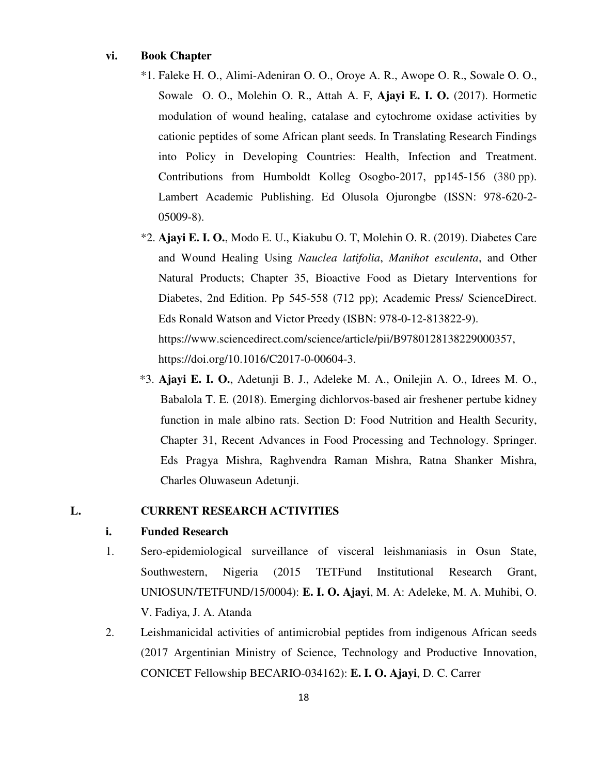## **vi. Book Chapter**

- \*1. Faleke H. O., Alimi-Adeniran O. O., Oroye A. R., Awope O. R., Sowale O. O., Sowale O. O., Molehin O. R., Attah A. F, **Ajayi E. I. O.** (2017). Hormetic modulation of wound healing, catalase and cytochrome oxidase activities by cationic peptides of some African plant seeds. In Translating Research Findings into Policy in Developing Countries: Health, Infection and Treatment. Contributions from Humboldt Kolleg Osogbo-2017, pp145-156 (380 pp). Lambert Academic Publishing. Ed Olusola Ojurongbe (ISSN: 978-620-2- 05009-8).
- \*2. **Ajayi E. I. O.**, Modo E. U., Kiakubu O. T, Molehin O. R. (2019). Diabetes Care and Wound Healing Using *Nauclea latifolia*, *Manihot esculenta*, and Other Natural Products; Chapter 35, Bioactive Food as Dietary Interventions for Diabetes, 2nd Edition. Pp 545-558 (712 pp); Academic Press/ ScienceDirect. Eds Ronald Watson and Victor Preedy (ISBN: 978-0-12-813822-9). https://www.sciencedirect.com/science/article/pii/B9780128138229000357, https://doi.org/10.1016/C2017-0-00604-3.
- \*3. **Ajayi E. I. O.**, Adetunji B. J., Adeleke M. A., Onilejin A. O., Idrees M. O., Babalola T. E. (2018). Emerging dichlorvos-based air freshener pertube kidney function in male albino rats. Section D: Food Nutrition and Health Security, Chapter 31, Recent Advances in Food Processing and Technology. Springer. Eds Pragya Mishra, Raghvendra Raman Mishra, Ratna Shanker Mishra, Charles Oluwaseun Adetunji.

## **L. CURRENT RESEARCH ACTIVITIES**

### **i. Funded Research**

- 1. Sero-epidemiological surveillance of visceral leishmaniasis in Osun State, Southwestern, Nigeria (2015 TETFund Institutional Research Grant, UNIOSUN/TETFUND/15/0004): **E. I. O. Ajayi**, M. A: Adeleke, M. A. Muhibi, O. V. Fadiya, J. A. Atanda
- 2. Leishmanicidal activities of antimicrobial peptides from indigenous African seeds (2017 Argentinian Ministry of Science, Technology and Productive Innovation, CONICET Fellowship BECARIO-034162): **E. I. O. Ajayi**, D. C. Carrer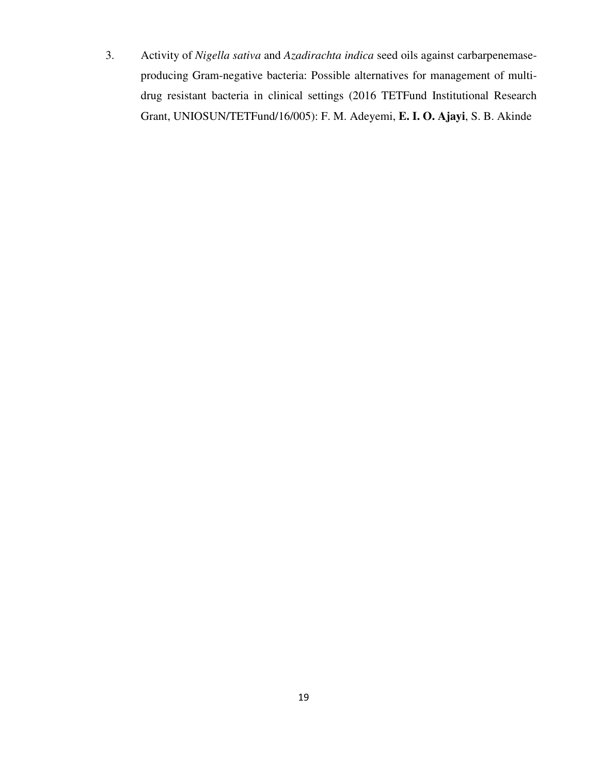3. Activity of *Nigella sativa* and *Azadirachta indica* seed oils against carbarpenemaseproducing Gram-negative bacteria: Possible alternatives for management of multidrug resistant bacteria in clinical settings (2016 TETFund Institutional Research Grant, UNIOSUN/TETFund/16/005): F. M. Adeyemi, **E. I. O. Ajayi**, S. B. Akinde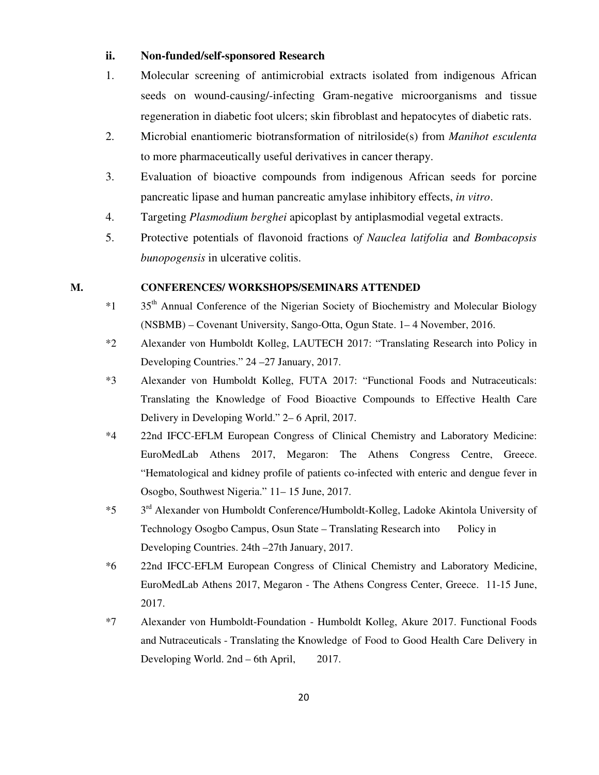## **ii. Non-funded/self-sponsored Research**

- 1. Molecular screening of antimicrobial extracts isolated from indigenous African seeds on wound-causing/-infecting Gram-negative microorganisms and tissue regeneration in diabetic foot ulcers; skin fibroblast and hepatocytes of diabetic rats.
- 2. Microbial enantiomeric biotransformation of nitriloside(s) from *Manihot esculenta* to more pharmaceutically useful derivatives in cancer therapy.
- 3. Evaluation of bioactive compounds from indigenous African seeds for porcine pancreatic lipase and human pancreatic amylase inhibitory effects, *in vitro*.
- 4. Targeting *Plasmodium berghei* apicoplast by antiplasmodial vegetal extracts.
- 5. Protective potentials of flavonoid fractions o*f Nauclea latifolia* an*d Bombacopsis bunopogensis* in ulcerative colitis.

### **M. CONFERENCES/ WORKSHOPS/SEMINARS ATTENDED**

- $*1$  35<sup>th</sup> Annual Conference of the Nigerian Society of Biochemistry and Molecular Biology (NSBMB) – Covenant University, Sango-Otta, Ogun State. 1– 4 November, 2016.
- \*2 Alexander von Humboldt Kolleg, LAUTECH 2017: "Translating Research into Policy in Developing Countries." 24 –27 January, 2017.
- \*3 Alexander von Humboldt Kolleg, FUTA 2017: "Functional Foods and Nutraceuticals: Translating the Knowledge of Food Bioactive Compounds to Effective Health Care Delivery in Developing World." 2– 6 April, 2017.
- \*4 22nd IFCC-EFLM European Congress of Clinical Chemistry and Laboratory Medicine: EuroMedLab Athens 2017, Megaron: The Athens Congress Centre, Greece. "Hematological and kidney profile of patients co-infected with enteric and dengue fever in Osogbo, Southwest Nigeria." 11– 15 June, 2017.
- \*5 3rd Alexander von Humboldt Conference/Humboldt-Kolleg, Ladoke Akintola University of Technology Osogbo Campus, Osun State – Translating Research into Policy in Developing Countries. 24th –27th January, 2017.
- \*6 22nd IFCC-EFLM European Congress of Clinical Chemistry and Laboratory Medicine, EuroMedLab Athens 2017, Megaron - The Athens Congress Center, Greece. 11-15 June, 2017.
- \*7 Alexander von Humboldt-Foundation Humboldt Kolleg, Akure 2017. Functional Foods and Nutraceuticals - Translating the Knowledge of Food to Good Health Care Delivery in Developing World. 2nd – 6th April, 2017.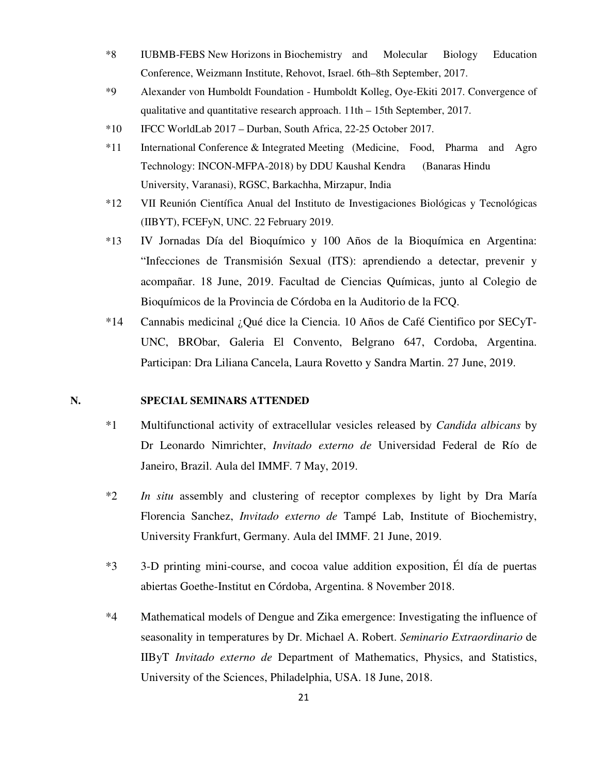- \*8 IUBMB-FEBS New Horizons in Biochemistry and Molecular Biology Education Conference, Weizmann Institute, Rehovot, Israel. 6th–8th September, 2017.
- \*9 Alexander von Humboldt Foundation Humboldt Kolleg, Oye-Ekiti 2017. Convergence of qualitative and quantitative research approach. 11th – 15th September, 2017.
- \*10 IFCC WorldLab 2017 Durban, South Africa, 22-25 October 2017.
- \*11 International Conference & Integrated Meeting (Medicine, Food, Pharma and Agro Technology: INCON-MFPA-2018) by DDU Kaushal Kendra (Banaras Hindu University, Varanasi), RGSC, Barkachha, Mirzapur, India
- \*12 VII Reunión Científica Anual del Instituto de Investigaciones Biológicas y Tecnológicas (IIBYT), FCEFyN, UNC. 22 February 2019.
- \*13 IV Jornadas Día del Bioquímico y 100 Años de la Bioquímica en Argentina: "Infecciones de Transmisión Sexual (ITS): aprendiendo a detectar, prevenir y acompañar. 18 June, 2019. Facultad de Ciencias Químicas, junto al Colegio de Bioquímicos de la Provincia de Córdoba en la Auditorio de la FCQ.
- \*14 Cannabis medicinal ¿Qué dice la Ciencia. 10 Años de Café Cientifico por SECyT-UNC, BRObar, Galeria El Convento, Belgrano 647, Cordoba, Argentina. Participan: Dra Liliana Cancela, Laura Rovetto y Sandra Martin. 27 June, 2019.

## **N. SPECIAL SEMINARS ATTENDED**

- \*1 Multifunctional activity of extracellular vesicles released by *Candida albicans* by Dr Leonardo Nimrichter, *Invitado externo de* Universidad Federal de Río de Janeiro, Brazil. Aula del IMMF. 7 May, 2019.
- \*2 *In situ* assembly and clustering of receptor complexes by light by Dra María Florencia Sanchez, *Invitado externo de* Tampé Lab, Institute of Biochemistry, University Frankfurt, Germany. Aula del IMMF. 21 June, 2019.
- \*3 3-D printing mini-course, and cocoa value addition exposition, Él día de puertas abiertas Goethe-Institut en Córdoba, Argentina. 8 November 2018.
- \*4 Mathematical models of Dengue and Zika emergence: Investigating the influence of seasonality in temperatures by Dr. Michael A. Robert. *Seminario Extraordinario* de IIByT *Invitado externo de* Department of Mathematics, Physics, and Statistics, University of the Sciences, Philadelphia, USA. 18 June, 2018.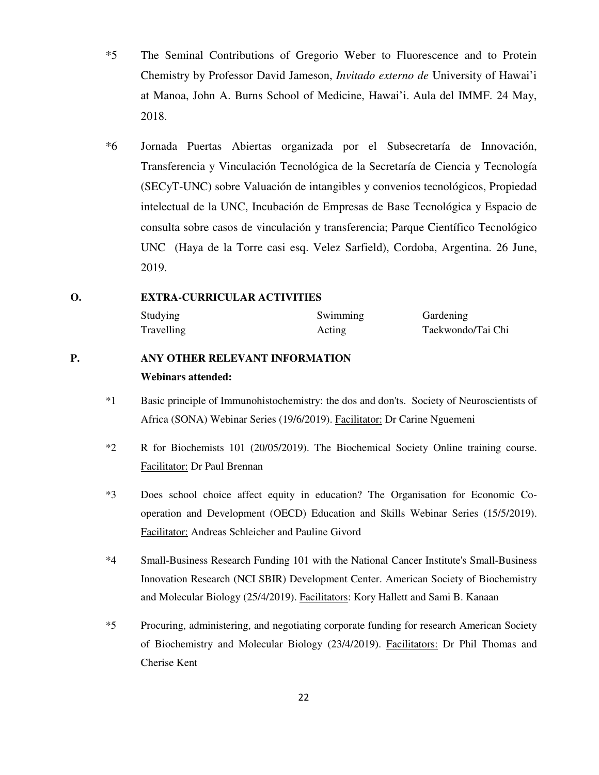- \*5 The Seminal Contributions of Gregorio Weber to Fluorescence and to Protein Chemistry by Professor David Jameson, *Invitado externo de* University of Hawai'i at Manoa, John A. Burns School of Medicine, Hawai'i. Aula del IMMF. 24 May, 2018.
- \*6 Jornada Puertas Abiertas organizada por el Subsecretaría de Innovación, Transferencia y Vinculación Tecnológica de la Secretaría de Ciencia y Tecnología (SECyT-UNC) sobre Valuación de intangibles y convenios tecnológicos, Propiedad intelectual de la UNC, Incubación de Empresas de Base Tecnológica y Espacio de consulta sobre casos de vinculación y transferencia; Parque Científico Tecnológico UNC (Haya de la Torre casi esq. Velez Sarfield), Cordoba, Argentina. 26 June, 2019.

### **O. EXTRA-CURRICULAR ACTIVITIES**

Studying Swimming Gardening Travelling Acting Acting Taekwondo/Tai Chi

# **P. ANY OTHER RELEVANT INFORMATION Webinars attended:**

- \*1 Basic principle of Immunohistochemistry: the dos and don'ts. Society of Neuroscientists of Africa (SONA) Webinar Series (19/6/2019). Facilitator: Dr Carine Nguemeni
- \*2 R for Biochemists 101 (20/05/2019). The Biochemical Society Online training course. Facilitator: Dr Paul Brennan
- \*3 Does school choice affect equity in education? The Organisation for Economic Cooperation and Development (OECD) Education and Skills Webinar Series (15/5/2019). Facilitator: Andreas Schleicher and Pauline Givord
- \*4 Small-Business Research Funding 101 with the National Cancer Institute's Small-Business Innovation Research (NCI SBIR) Development Center. American Society of Biochemistry and Molecular Biology (25/4/2019). Facilitators: Kory Hallett and Sami B. Kanaan
- \*5 Procuring, administering, and negotiating corporate funding for research American Society of Biochemistry and Molecular Biology (23/4/2019). Facilitators: Dr Phil Thomas and Cherise Kent